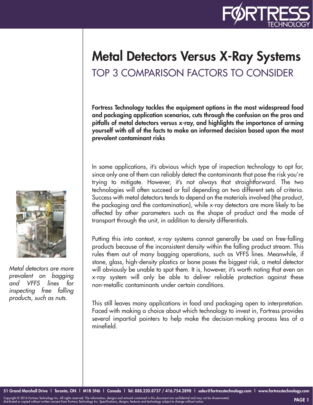

## Metal Detectors Versus X-Ray Systems TOP 3 COMPARISON FACTORS TO CONSIDER

Fortress Technology tackles the equipment options in the most widespread food and packaging application scenarios, cuts through the confusion on the pros and pitfalls of metal detectors versus x-ray, and highlights the importance of arming yourself with all of the facts to make an informed decision based upon the most prevalent contaminant risks

In some applications, it's obvious which type of inspection technology to opt for, since only one of them can reliably detect the contaminants that pose the risk you're trying to mitigate. However, it's not always that straightforward. The two technologies will often succeed or fail depending on two different sets of criteria. Success with metal detectors tends to depend on the materials involved (the product, the packaging and the contamination), while x-ray detectors are more likely to be affected by other parameters such as the shape of product and the mode of transport through the unit, in addition to density differentials.

Putting this into context, x-ray systems cannot generally be used on free-falling products because of the inconsistent density within the falling product stream. This rules them out of many bagging operations, such as VFFS lines. Meanwhile, if stone, glass, high-density plastics or bone poses the biggest risk, a metal detector will obviously be unable to spot them. It is, however, it's worth noting that even an x-ray system will only be able to deliver reliable protection against these non-metallic contaminants under certain conditions.

This still leaves many applications in food and packaging open to interpretation. Faced with making a choice about which technology to invest in, Fortress provides several impartial pointers to help make the decision-making process less of a minefield.



*Metal detectors are more prevalent on bagging and VFFS lines for inspecting free falling products, such as nuts.*

Copyright © 2016 Fortress Technology Inc. All rights reserved. The information, designs and artwork contained in this document are confidential and may not be disseminated,<br>distributed or copied without written consent fro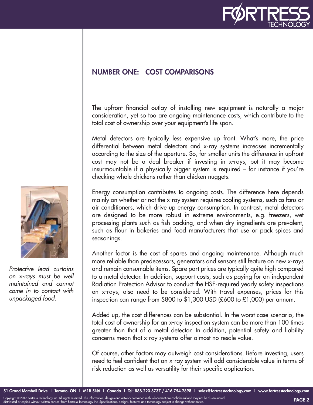

## NUMBER ONE: COST COMPARISONS

The upfront financial outlay of installing new equipment is naturally a major consideration, yet so too are ongoing maintenance costs, which contribute to the total cost of ownership over your equipment's life span.

Metal detectors are typically less expensive up front. What's more, the price differential between metal detectors and x-ray systems increases incrementally according to the size of the aperture. So, for smaller units the difference in upfront cost may not be a deal breaker if investing in x-rays, but it may become insurmountable if a physically bigger system is required – for instance if you're checking whole chickens rather than chicken nuggets.

Energy consumption contributes to ongoing costs. The difference here depends mainly on whether or not the x-ray system requires cooling systems, such as fans or air conditioners, which drive up energy consumption. In contrast, metal detectors are designed to be more robust in extreme environments, e.g. freezers, wet processing plants such as fish packing, and when dry ingredients are prevalent, such as flour in bakeries and food manufacturers that use or pack spices and seasonings.

Another factor is the cost of spares and ongoing maintenance. Although much more reliable than predecessors, generators and sensors still feature on new x-rays and remain consumable items. Spare part prices are typically quite high compared to a metal detector. In addition, support costs, such as paying for an independent Radiation Protection Advisor to conduct the HSE-required yearly safety inspections on x-rays, also need to be considered. With travel expenses, prices for this inspection can range from \$800 to \$1,300 USD (£600 to £1,000) per annum.

Added up, the cost differences can be substantial. In the worst-case scenario, the total cost of ownership for an x-ray inspection system can be more than 100 times greater than that of a metal detector. In addition, potential safety and liability concerns mean that x-ray systems offer almost no resale value.

Of course, other factors may outweigh cost considerations. Before investing, users need to feel confident that an x-ray system will add considerable value in terms of risk reduction as well as versatility for their specific application.



*Protective lead curtains on x-rays must be well maintained and cannot come in to contact with unpackaged food.*

Copyright © 2016 Fortress Technology Inc. All rights reserved. The information, designs and artwork contained in this document are confidential and may not be disseminated,<br>distributed or copied without written consent fro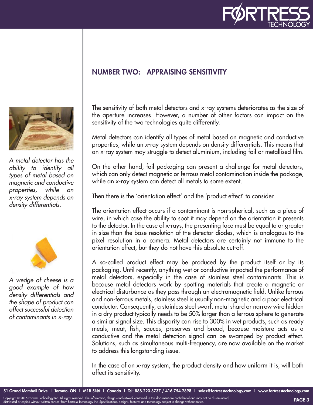

## NUMBER TWO: APPRAISING SENSITIVITY



*A metal detector has the ability to identify all types of metal based on magnetic and conductive properties, while an x-ray system depends on density differentials.*



*A wedge of cheese is a good example of how density differentials and the shape of product can affect successful detection of contaminants in x-ray.*

The sensitivity of both metal detectors and x-ray systems deteriorates as the size of the aperture increases. However, a number of other factors can impact on the sensitivity of the two technologies quite differently.

Metal detectors can identify all types of metal based on magnetic and conductive properties, while an x-ray system depends on density differentials. This means that an x-ray system may struggle to detect aluminium, including foil or metallised film.

On the other hand, foil packaging can present a challenge for metal detectors, which can only detect magnetic or ferrous metal contamination inside the package, while an x-ray system can detect all metals to some extent.

Then there is the 'orientation effect' and the 'product effect' to consider.

The orientation effect occurs if a contaminant is non-spherical, such as a piece of wire, in which case the ability to spot it may depend on the orientation it presents to the detector. In the case of x-rays, the presenting face must be equal to or greater in size than the base resolution of the detector diodes, which is analogous to the pixel resolution in a camera. Metal detectors are certainly not immune to the orientation effect, but they do not have this absolute cut-off.

A so-called product effect may be produced by the product itself or by its packaging. Until recently, anything wet or conductive impacted the performance of metal detectors, especially in the case of stainless steel contaminants. This is because metal detectors work by spotting materials that create a magnetic or electrical disturbance as they pass through an electromagnetic field. Unlike ferrous and non-ferrous metals, stainless steel is usually non-magnetic and a poor electrical conductor. Consequently, a stainless steel swarf, metal shard or narrow wire hidden in a dry product typically needs to be 50% larger than a ferrous sphere to generate a similar signal size. This disparity can rise to 300% in wet products, such as ready meals, meat, fish, sauces, preserves and bread, because moisture acts as a conductive and the metal detection signal can be swamped by product effect. Solutions, such as simultaneous multi-frequency, are now available on the market to address this longstanding issue.

In the case of an x-ray system, the product density and how uniform it is, will both affect its sensitivity.

Copyright © 2016 Fortress Technology Inc. All rights reserved. The information, designs and artwork contained in this document are confidential and may not be disseminated,<br>distributed or copied without written consent fro